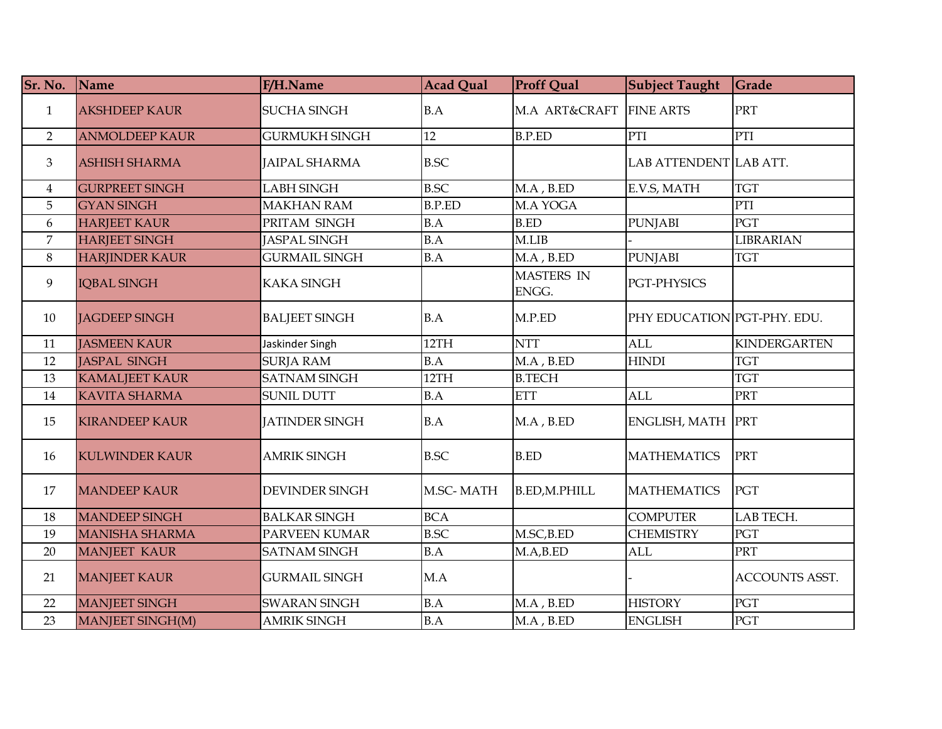| Sr. No.        | Name                  | F/H.Name              | <b>Acad Qual</b> | <b>Proff Qual</b>          | <b>Subject Taught</b>       | Grade                 |
|----------------|-----------------------|-----------------------|------------------|----------------------------|-----------------------------|-----------------------|
| $\mathbf{1}$   | <b>AKSHDEEP KAUR</b>  | <b>SUCHA SINGH</b>    | B.A              | M.A ART&CRAFT              | <b>FINE ARTS</b>            | PRT                   |
| $\overline{2}$ | <b>ANMOLDEEP KAUR</b> | <b>GURMUKH SINGH</b>  | 12               | <b>B.P.ED</b>              | PTI                         | PTI                   |
| $\mathfrak{Z}$ | <b>ASHISH SHARMA</b>  | <b>JAIPAL SHARMA</b>  | <b>B.SC</b>      |                            | LAB ATTENDENT LAB ATT.      |                       |
| $\overline{4}$ | <b>GURPREET SINGH</b> | <b>LABH SINGH</b>     | <b>B.SC</b>      | $M.A$ , $B.ED$             | E.V.S, MATH                 | <b>TGT</b>            |
| 5              | <b>GYAN SINGH</b>     | <b>MAKHAN RAM</b>     | <b>B.P.ED</b>    | M.A YOGA                   |                             | PTI                   |
| 6              | <b>HARJEET KAUR</b>   | PRITAM SINGH          | B.A              | <b>B.ED</b>                | <b>PUNJABI</b>              | PGT                   |
| $\overline{7}$ | <b>HARJEET SINGH</b>  | <b>JASPAL SINGH</b>   | B.A              | M.LIB                      |                             | <b>LIBRARIAN</b>      |
| 8              | <b>HARJINDER KAUR</b> | <b>GURMAIL SINGH</b>  | B.A              | $MA$ , $B.ED$              | <b>PUNJABI</b>              | <b>TGT</b>            |
| 9              | IQBAL SINGH           | <b>KAKA SINGH</b>     |                  | <b>MASTERS IN</b><br>ENGG. | PGT-PHYSICS                 |                       |
| 10             | <b>IAGDEEP SINGH</b>  | <b>BALJEET SINGH</b>  | B.A              | M.P.ED                     | PHY EDUCATION PGT-PHY. EDU. |                       |
| 11             | <b>JASMEEN KAUR</b>   | Jaskinder Singh       | 12TH             | <b>NTT</b>                 | <b>ALL</b>                  | <b>KINDERGARTEN</b>   |
| 12             | JASPAL SINGH          | <b>SURJA RAM</b>      | B.A              | $MA$ , $B.ED$              | <b>HINDI</b>                | <b>TGT</b>            |
| 13             | <b>KAMALJEET KAUR</b> | <b>SATNAM SINGH</b>   | 12TH             | <b>B.TECH</b>              |                             | <b>TGT</b>            |
| 14             | <b>KAVITA SHARMA</b>  | <b>SUNIL DUTT</b>     | B.A              | <b>ETT</b>                 | ALL                         | <b>PRT</b>            |
| 15             | <b>KIRANDEEP KAUR</b> | <b>JATINDER SINGH</b> | B.A              | $MA$ , $B.ED$              | ENGLISH, MATH               | PRT                   |
| 16             | <b>KULWINDER KAUR</b> | <b>AMRIK SINGH</b>    | <b>B.SC</b>      | <b>B.ED</b>                | <b>MATHEMATICS</b>          | PRT                   |
| 17             | <b>MANDEEP KAUR</b>   | <b>DEVINDER SINGH</b> | M.SC-MATH        | <b>B.ED,M.PHILL</b>        | <b>MATHEMATICS</b>          | PGT                   |
| 18             | <b>MANDEEP SINGH</b>  | <b>BALKAR SINGH</b>   | <b>BCA</b>       |                            | <b>COMPUTER</b>             | LAB TECH.             |
| 19             | <b>MANISHA SHARMA</b> | PARVEEN KUMAR         | <b>B.SC</b>      | M.SC,B.ED                  | <b>CHEMISTRY</b>            | PGT                   |
| 20             | <b>MANJEET KAUR</b>   | <b>SATNAM SINGH</b>   | B.A              | M.A,BED                    | <b>ALL</b>                  | PRT                   |
| 21             | <b>MANJEET KAUR</b>   | <b>GURMAIL SINGH</b>  | M.A              |                            |                             | <b>ACCOUNTS ASST.</b> |
| 22             | MANJEET SINGH         | <b>SWARAN SINGH</b>   | B.A              | MA, BED                    | <b>HISTORY</b>              | PGT                   |
| 23             | MANJEET SINGH(M)      | <b>AMRIK SINGH</b>    | B.A              | $MA$ , $B.ED$              | <b>ENGLISH</b>              | PGT                   |